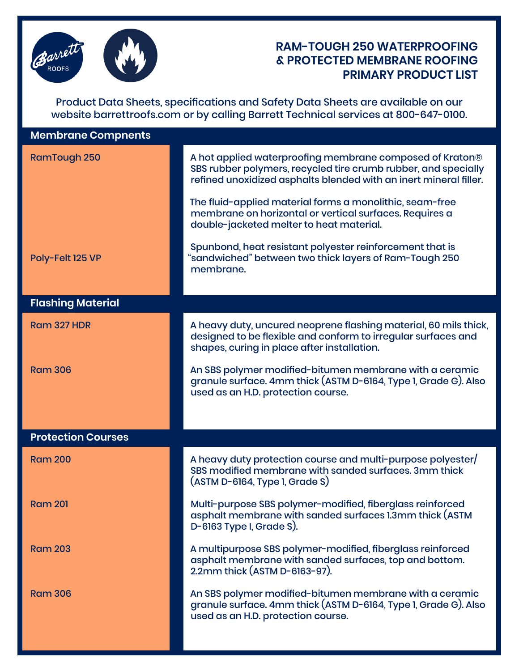

## **RAM-TOUGH 250 WATERPROOFING & PROTECTED MEMBRANE ROOFING PRIMARY PRODUCT LIST**

Product Data Sheets, specifications and Safety Data Sheets are available on our website barrettroofs.com or by calling Barrett Technical services at 800-647-0100.

| <b>RamTough 250</b>       | A hot applied waterproofing membrane composed of Kraton®<br>SBS rubber polymers, recycled tire crumb rubber, and specially<br>refined unoxidized asphalts blended with an inert mineral filler. |
|---------------------------|-------------------------------------------------------------------------------------------------------------------------------------------------------------------------------------------------|
|                           | The fluid-applied material forms a monolithic, seam-free<br>membrane on horizontal or vertical surfaces. Requires a<br>double-jacketed melter to heat material.                                 |
| Poly-Felt 125 VP          | Spunbond, heat resistant polyester reinforcement that is<br>"sandwiched" between two thick layers of Ram-Tough 250<br>membrane.                                                                 |
| <b>Flashing Material</b>  |                                                                                                                                                                                                 |
| <b>Ram 327 HDR</b>        | A heavy duty, uncured neoprene flashing material, 60 mils thick,<br>designed to be flexible and conform to irregular surfaces and<br>shapes, curing in place after installation.                |
| <b>Ram 306</b>            | An SBS polymer modified-bitumen membrane with a ceramic<br>granule surface. 4mm thick (ASTM D-6164, Type 1, Grade G). Also<br>used as an H.D. protection course.                                |
|                           |                                                                                                                                                                                                 |
| <b>Protection Courses</b> |                                                                                                                                                                                                 |
| <b>Ram 200</b>            | A heavy duty protection course and multi-purpose polyester/<br>SBS modified membrane with sanded surfaces. 3mm thick<br>$($ ASTM D-6164, Type 1, Grade S $)$                                    |
| <b>Ram 201</b>            | Multi-purpose SBS polymer-modified, fiberglass reinforced<br>asphalt membrane with sanded surfaces 1.3mm thick (ASTM<br>$D-6163$ Type I, Grade S).                                              |
| <b>Ram 203</b>            | A multipurpose SBS polymer-modified, fiberglass reinforced<br>asphalt membrane with sanded surfaces, top and bottom.<br>2.2mm thick (ASTM D-6163-97).                                           |
| <b>Ram 306</b>            | An SBS polymer modified-bitumen membrane with a ceramic<br>granule surface. 4mm thick (ASTM D-6164, Type 1, Grade G). Also<br>used as an H.D. protection course.                                |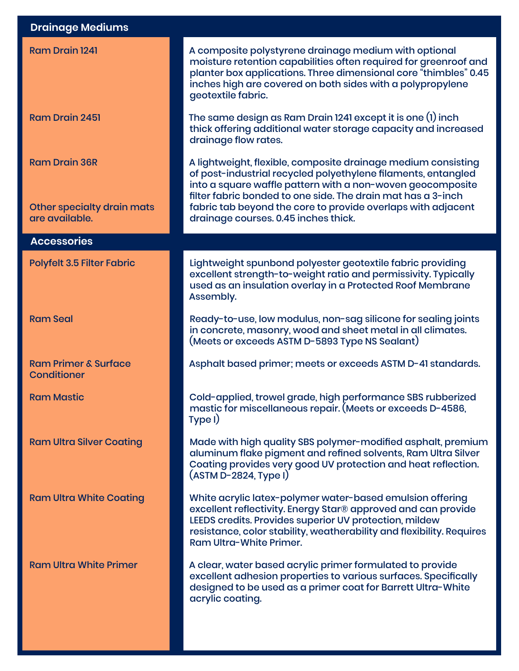| <b>Drainage Mediums</b>                               |                                                                                                                                                                                                                                                                                          |
|-------------------------------------------------------|------------------------------------------------------------------------------------------------------------------------------------------------------------------------------------------------------------------------------------------------------------------------------------------|
| <b>Ram Drain 1241</b>                                 | A composite polystyrene drainage medium with optional<br>moisture retention capabilities often required for greenroof and<br>planter box applications. Three dimensional core "thimbles" 0.45<br>inches high are covered on both sides with a polypropylene<br>geotextile fabric.        |
| <b>Ram Drain 2451</b>                                 | The same design as Ram Drain 1241 except it is one (1) inch<br>thick offering additional water storage capacity and increased<br>drainage flow rates.                                                                                                                                    |
| <b>Ram Drain 36R</b>                                  | A lightweight, flexible, composite drainage medium consisting<br>of post-industrial recycled polyethylene filaments, entangled<br>into a square waffle pattern with a non-woven geocomposite<br>filter fabric bonded to one side. The drain mat has a 3-inch                             |
| Other specialty drain mats<br>are available.          | fabric tab beyond the core to provide overlaps with adjacent<br>drainage courses. 0.45 inches thick.                                                                                                                                                                                     |
| <b>Accessories</b>                                    |                                                                                                                                                                                                                                                                                          |
| <b>Polyfelt 3.5 Filter Fabric</b>                     | Lightweight spunbond polyester geotextile fabric providing<br>excellent strength-to-weight ratio and permissivity. Typically<br>used as an insulation overlay in a Protected Roof Membrane<br>Assembly.                                                                                  |
| <b>Ram Seal</b>                                       | Ready-to-use, low modulus, non-sag silicone for sealing joints<br>in concrete, masonry, wood and sheet metal in all climates.<br>(Meets or exceeds ASTM D-5893 Type NS Sealant)                                                                                                          |
| <b>Ram Primer &amp; Surface</b><br><b>Conditioner</b> | Asphalt based primer; meets or exceeds ASTM D-41 standards.                                                                                                                                                                                                                              |
| <b>Ram Mastic</b>                                     | Cold-applied, trowel grade, high performance SBS rubberized<br>mastic for miscellaneous repair. (Meets or exceeds D-4586,<br>Type I)                                                                                                                                                     |
| <b>Ram Ultra Silver Coating</b>                       | Made with high quality SBS polymer-modified asphalt, premium<br>aluminum flake pigment and refined solvents, Ram Ultra Silver<br>Coating provides very good UV protection and heat reflection.<br>(ASTM D-2824, Type I)                                                                  |
| <b>Ram Ultra White Coating</b>                        | White acrylic latex-polymer water-based emulsion offering<br>excellent reflectivity. Energy Star® approved and can provide<br>LEEDS credits. Provides superior UV protection, mildew<br>resistance, color stability, weatherability and flexibility. Requires<br>Ram Ultra-White Primer. |
| <b>Ram Ultra White Primer</b>                         | A clear, water based acrylic primer formulated to provide<br>excellent adhesion properties to various surfaces. Specifically<br>designed to be used as a primer coat for Barrett Ultra-White<br>acrylic coating.                                                                         |